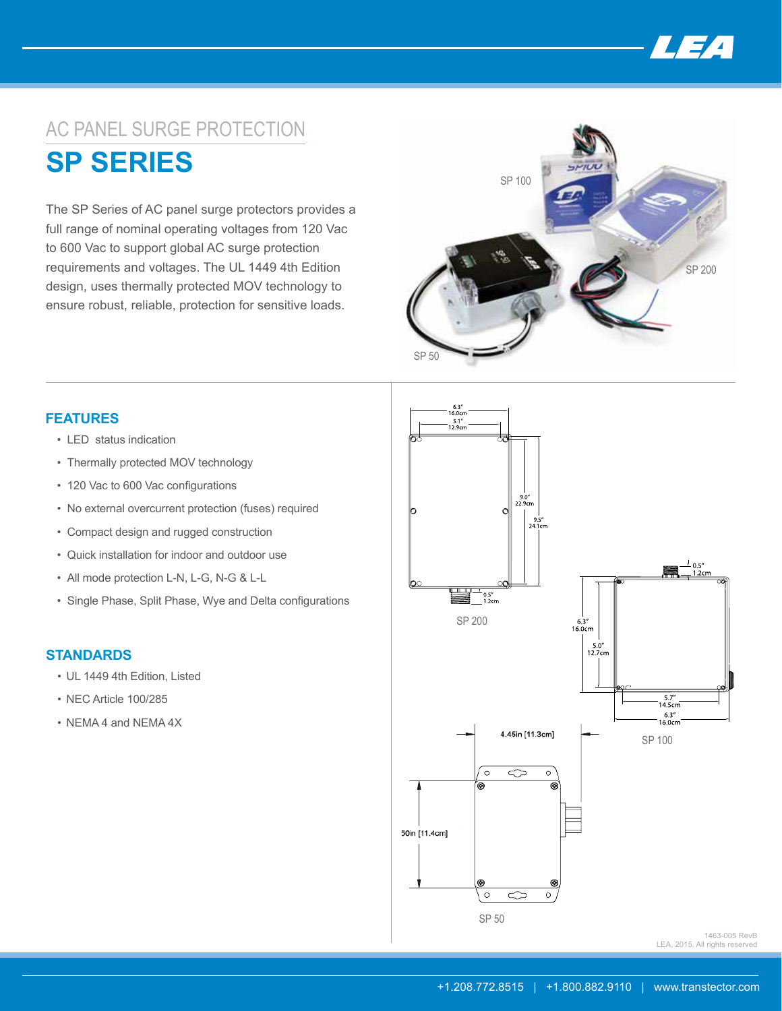

## AC PANEL SURGE PROTECTION

**SP SERIES**

The SP Series of AC panel surge protectors provides a full range of nominal operating voltages from 120 Vac to 600 Vac to support global AC surge protection requirements and voltages. The UL 1449 4th Edition design, uses thermally protected MOV technology to ensure robust, reliable, protection for sensitive loads.



## **FEATURES**

- LED status indication
- Thermally protected MOV technology
- 120 Vac to 600 Vac configurations
- No external overcurrent protection (fuses) required
- Compact design and rugged construction
- Quick installation for indoor and outdoor use
- 
- • Single Phase, Split Phase, Wye and Delta configurations

## **STANDARDS**

- UL 1449 4th Edition, Listed
- NEC Article 100/285
- NEMA 4 and NEMA 4X



LEA, 2015. All rights reserved